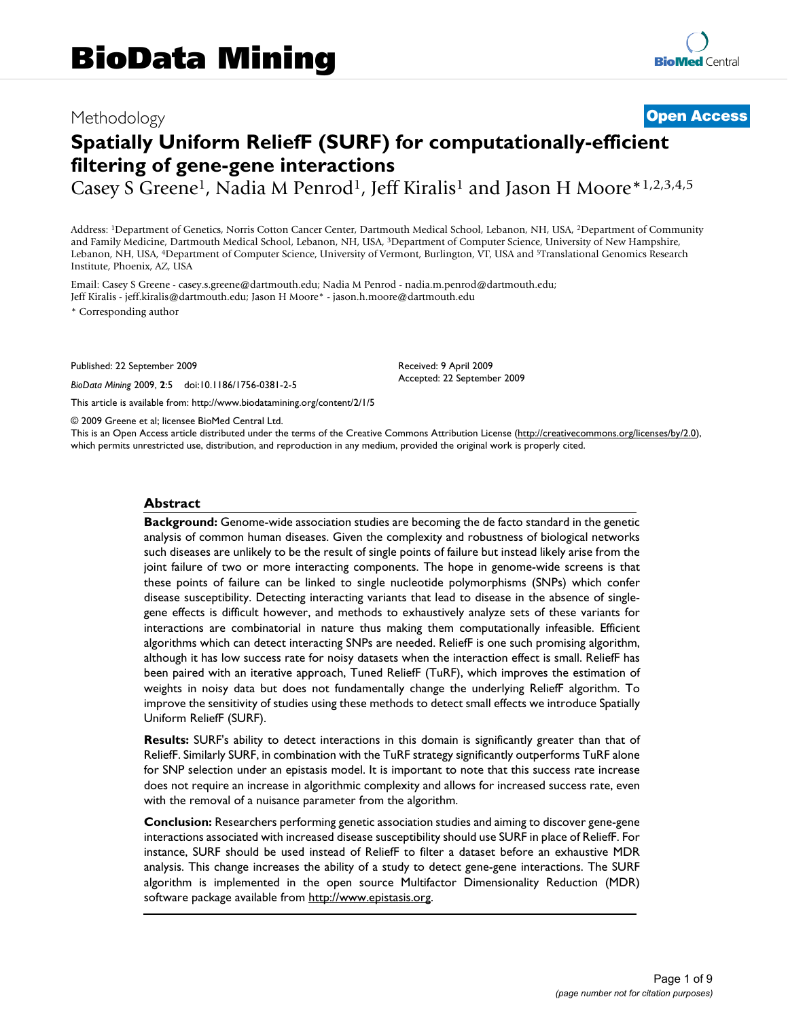# Methodology **[Open Access](http://www.biomedcentral.com/info/about/charter/)**

# **Spatially Uniform ReliefF (SURF) for computationally-efficient filtering of gene-gene interactions**

Casey S Greene<sup>1</sup>, Nadia M Penrod<sup>1</sup>, Jeff Kiralis<sup>1</sup> and Jason H Moore\*<sup>1,2,3,4,5</sup>

Address: 1Department of Genetics, Norris Cotton Cancer Center, Dartmouth Medical School, Lebanon, NH, USA, 2Department of Community and Family Medicine, Dartmouth Medical School, Lebanon, NH, USA, 3Department of Computer Science, University of New Hampshire, Lebanon, NH, USA, 4Department of Computer Science, University of Vermont, Burlington, VT, USA and 5Translational Genomics Research Institute, Phoenix, AZ, USA

Email: Casey S Greene - casey.s.greene@dartmouth.edu; Nadia M Penrod - nadia.m.penrod@dartmouth.edu; Jeff Kiralis - jeff.kiralis@dartmouth.edu; Jason H Moore\* - jason.h.moore@dartmouth.edu

\* Corresponding author

Published: 22 September 2009

*BioData Mining* 2009, **2**:5 doi:10.1186/1756-0381-2-5

[This article is available from: http://www.biodatamining.org/content/2/1/5](http://www.biodatamining.org/content/2/1/5)

© 2009 Greene et al; licensee BioMed Central Ltd.

This is an Open Access article distributed under the terms of the Creative Commons Attribution License [\(http://creativecommons.org/licenses/by/2.0\)](http://creativecommons.org/licenses/by/2.0), which permits unrestricted use, distribution, and reproduction in any medium, provided the original work is properly cited.

Received: 9 April 2009 Accepted: 22 September 2009

#### **Abstract**

**Background:** Genome-wide association studies are becoming the de facto standard in the genetic analysis of common human diseases. Given the complexity and robustness of biological networks such diseases are unlikely to be the result of single points of failure but instead likely arise from the joint failure of two or more interacting components. The hope in genome-wide screens is that these points of failure can be linked to single nucleotide polymorphisms (SNPs) which confer disease susceptibility. Detecting interacting variants that lead to disease in the absence of singlegene effects is difficult however, and methods to exhaustively analyze sets of these variants for interactions are combinatorial in nature thus making them computationally infeasible. Efficient algorithms which can detect interacting SNPs are needed. ReliefF is one such promising algorithm, although it has low success rate for noisy datasets when the interaction effect is small. ReliefF has been paired with an iterative approach, Tuned ReliefF (TuRF), which improves the estimation of weights in noisy data but does not fundamentally change the underlying ReliefF algorithm. To improve the sensitivity of studies using these methods to detect small effects we introduce Spatially Uniform ReliefF (SURF).

**Results:** SURF's ability to detect interactions in this domain is significantly greater than that of ReliefF. Similarly SURF, in combination with the TuRF strategy significantly outperforms TuRF alone for SNP selection under an epistasis model. It is important to note that this success rate increase does not require an increase in algorithmic complexity and allows for increased success rate, even with the removal of a nuisance parameter from the algorithm.

**Conclusion:** Researchers performing genetic association studies and aiming to discover gene-gene interactions associated with increased disease susceptibility should use SURF in place of ReliefF. For instance, SURF should be used instead of ReliefF to filter a dataset before an exhaustive MDR analysis. This change increases the ability of a study to detect gene-gene interactions. The SURF algorithm is implemented in the open source Multifactor Dimensionality Reduction (MDR) software package available from [http://www.epistasis.org.](http://www.epistasis.org)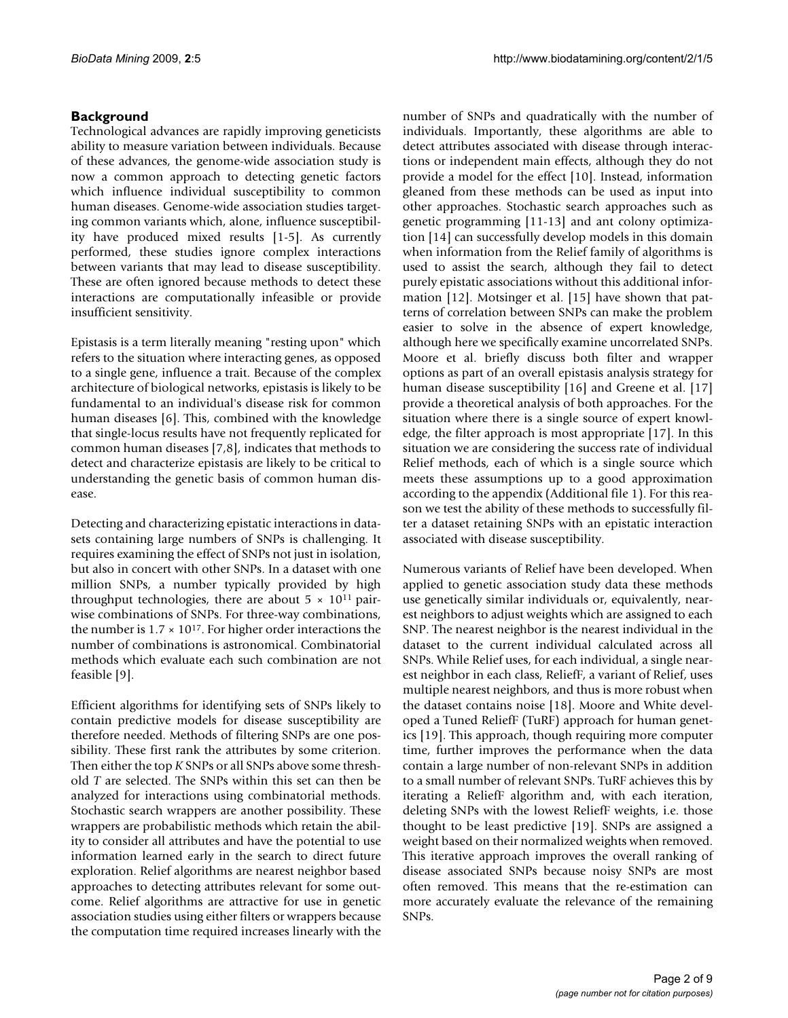# **Background**

Technological advances are rapidly improving geneticists ability to measure variation between individuals. Because of these advances, the genome-wide association study is now a common approach to detecting genetic factors which influence individual susceptibility to common human diseases. Genome-wide association studies targeting common variants which, alone, influence susceptibility have produced mixed results [1-5]. As currently performed, these studies ignore complex interactions between variants that may lead to disease susceptibility. These are often ignored because methods to detect these interactions are computationally infeasible or provide insufficient sensitivity.

Epistasis is a term literally meaning "resting upon" which refers to the situation where interacting genes, as opposed to a single gene, influence a trait. Because of the complex architecture of biological networks, epistasis is likely to be fundamental to an individual's disease risk for common human diseases [6]. This, combined with the knowledge that single-locus results have not frequently replicated for common human diseases [7,8], indicates that methods to detect and characterize epistasis are likely to be critical to understanding the genetic basis of common human disease.

Detecting and characterizing epistatic interactions in datasets containing large numbers of SNPs is challenging. It requires examining the effect of SNPs not just in isolation, but also in concert with other SNPs. In a dataset with one million SNPs, a number typically provided by high throughput technologies, there are about  $5 \times 10^{11}$  pairwise combinations of SNPs. For three-way combinations, the number is  $1.7 \times 10^{17}$ . For higher order interactions the number of combinations is astronomical. Combinatorial methods which evaluate each such combination are not feasible [9].

Efficient algorithms for identifying sets of SNPs likely to contain predictive models for disease susceptibility are therefore needed. Methods of filtering SNPs are one possibility. These first rank the attributes by some criterion. Then either the top *K* SNPs or all SNPs above some threshold *T* are selected. The SNPs within this set can then be analyzed for interactions using combinatorial methods. Stochastic search wrappers are another possibility. These wrappers are probabilistic methods which retain the ability to consider all attributes and have the potential to use information learned early in the search to direct future exploration. Relief algorithms are nearest neighbor based approaches to detecting attributes relevant for some outcome. Relief algorithms are attractive for use in genetic association studies using either filters or wrappers because the computation time required increases linearly with the number of SNPs and quadratically with the number of individuals. Importantly, these algorithms are able to detect attributes associated with disease through interactions or independent main effects, although they do not provide a model for the effect [10]. Instead, information gleaned from these methods can be used as input into other approaches. Stochastic search approaches such as genetic programming [11-13] and ant colony optimization [14] can successfully develop models in this domain when information from the Relief family of algorithms is used to assist the search, although they fail to detect purely epistatic associations without this additional information [12]. Motsinger et al. [15] have shown that patterns of correlation between SNPs can make the problem easier to solve in the absence of expert knowledge, although here we specifically examine uncorrelated SNPs. Moore et al. briefly discuss both filter and wrapper options as part of an overall epistasis analysis strategy for human disease susceptibility [16] and Greene et al. [17] provide a theoretical analysis of both approaches. For the situation where there is a single source of expert knowledge, the filter approach is most appropriate [17]. In this situation we are considering the success rate of individual Relief methods, each of which is a single source which meets these assumptions up to a good approximation according to the appendix (Additional file 1). For this reason we test the ability of these methods to successfully filter a dataset retaining SNPs with an epistatic interaction associated with disease susceptibility.

Numerous variants of Relief have been developed. When applied to genetic association study data these methods use genetically similar individuals or, equivalently, nearest neighbors to adjust weights which are assigned to each SNP. The nearest neighbor is the nearest individual in the dataset to the current individual calculated across all SNPs. While Relief uses, for each individual, a single nearest neighbor in each class, ReliefF, a variant of Relief, uses multiple nearest neighbors, and thus is more robust when the dataset contains noise [18]. Moore and White developed a Tuned ReliefF (TuRF) approach for human genetics [19]. This approach, though requiring more computer time, further improves the performance when the data contain a large number of non-relevant SNPs in addition to a small number of relevant SNPs. TuRF achieves this by iterating a ReliefF algorithm and, with each iteration, deleting SNPs with the lowest ReliefF weights, i.e. those thought to be least predictive [19]. SNPs are assigned a weight based on their normalized weights when removed. This iterative approach improves the overall ranking of disease associated SNPs because noisy SNPs are most often removed. This means that the re-estimation can more accurately evaluate the relevance of the remaining SNPs.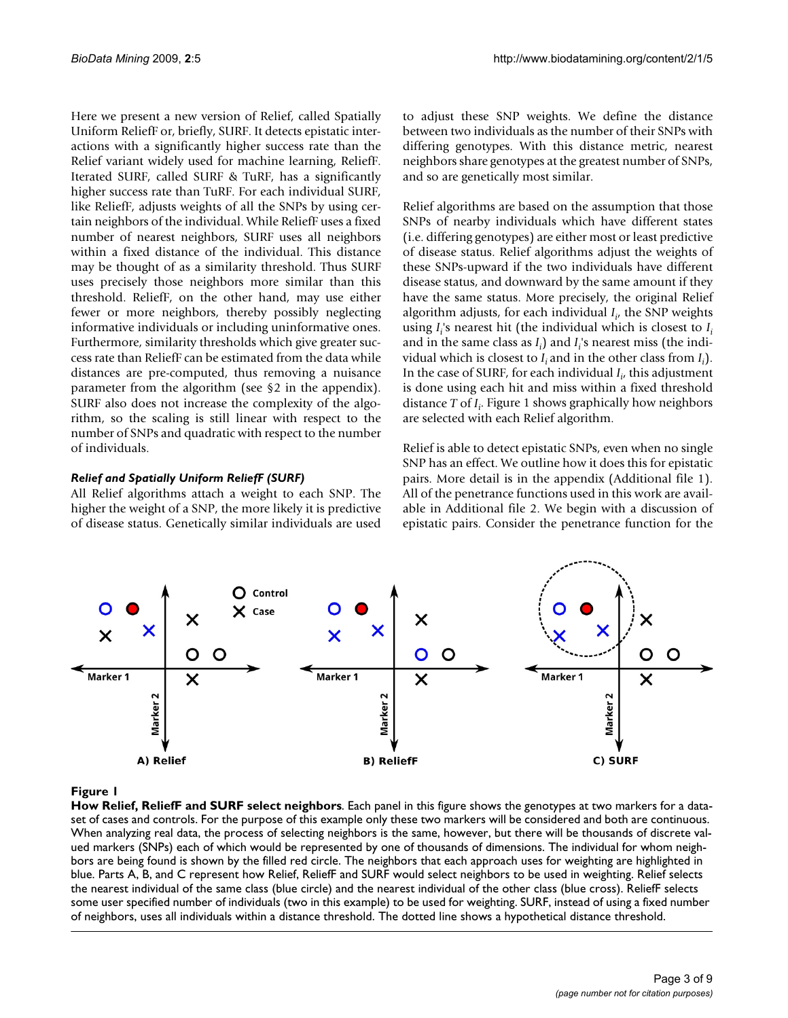Here we present a new version of Relief, called Spatially Uniform ReliefF or, briefly, SURF. It detects epistatic interactions with a significantly higher success rate than the Relief variant widely used for machine learning, ReliefF. Iterated SURF, called SURF & TuRF, has a significantly higher success rate than TuRF. For each individual SURF, like ReliefF, adjusts weights of all the SNPs by using certain neighbors of the individual. While ReliefF uses a fixed number of nearest neighbors, SURF uses all neighbors within a fixed distance of the individual. This distance may be thought of as a similarity threshold. Thus SURF uses precisely those neighbors more similar than this threshold. ReliefF, on the other hand, may use either fewer or more neighbors, thereby possibly neglecting informative individuals or including uninformative ones. Furthermore, similarity thresholds which give greater success rate than ReliefF can be estimated from the data while distances are pre-computed, thus removing a nuisance parameter from the algorithm (see §2 in the appendix). SURF also does not increase the complexity of the algorithm, so the scaling is still linear with respect to the number of SNPs and quadratic with respect to the number of individuals.

#### *Relief and Spatially Uniform ReliefF (SURF)*

All Relief algorithms attach a weight to each SNP. The higher the weight of a SNP, the more likely it is predictive of disease status. Genetically similar individuals are used to adjust these SNP weights. We define the distance between two individuals as the number of their SNPs with differing genotypes. With this distance metric, nearest neighbors share genotypes at the greatest number of SNPs, and so are genetically most similar.

Relief algorithms are based on the assumption that those SNPs of nearby individuals which have different states (i.e. differing genotypes) are either most or least predictive of disease status. Relief algorithms adjust the weights of these SNPs-upward if the two individuals have different disease status, and downward by the same amount if they have the same status. More precisely, the original Relief algorithm adjusts, for each individual *Ii* , the SNP weights using *Ii* 's nearest hit (the individual which is closest to *Ii* and in the same class as  $I_i$ ) and  $I_i$ 's nearest miss (the individual which is closest to  $I_i$  and in the other class from  $I_i$ ). In the case of SURF, for each individual  $I_{i}$ , this adjustment is done using each hit and miss within a fixed threshold distance *T* of *Ii* . Figure 1 shows graphically how neighbors are selected with each Relief algorithm.

Relief is able to detect epistatic SNPs, even when no single SNP has an effect. We outline how it does this for epistatic pairs. More detail is in the appendix (Additional file 1). All of the penetrance functions used in this work are available in Additional file 2. We begin with a discussion of epistatic pairs. Consider the penetrance function for the



#### **Figure 1**

**How Relief, ReliefF and SURF select neighbors**. Each panel in this figure shows the genotypes at two markers for a dataset of cases and controls. For the purpose of this example only these two markers will be considered and both are continuous. When analyzing real data, the process of selecting neighbors is the same, however, but there will be thousands of discrete valued markers (SNPs) each of which would be represented by one of thousands of dimensions. The individual for whom neighbors are being found is shown by the filled red circle. The neighbors that each approach uses for weighting are highlighted in blue. Parts A, B, and C represent how Relief, ReliefF and SURF would select neighbors to be used in weighting. Relief selects the nearest individual of the same class (blue circle) and the nearest individual of the other class (blue cross). ReliefF selects some user specified number of individuals (two in this example) to be used for weighting. SURF, instead of using a fixed number of neighbors, uses all individuals within a distance threshold. The dotted line shows a hypothetical distance threshold.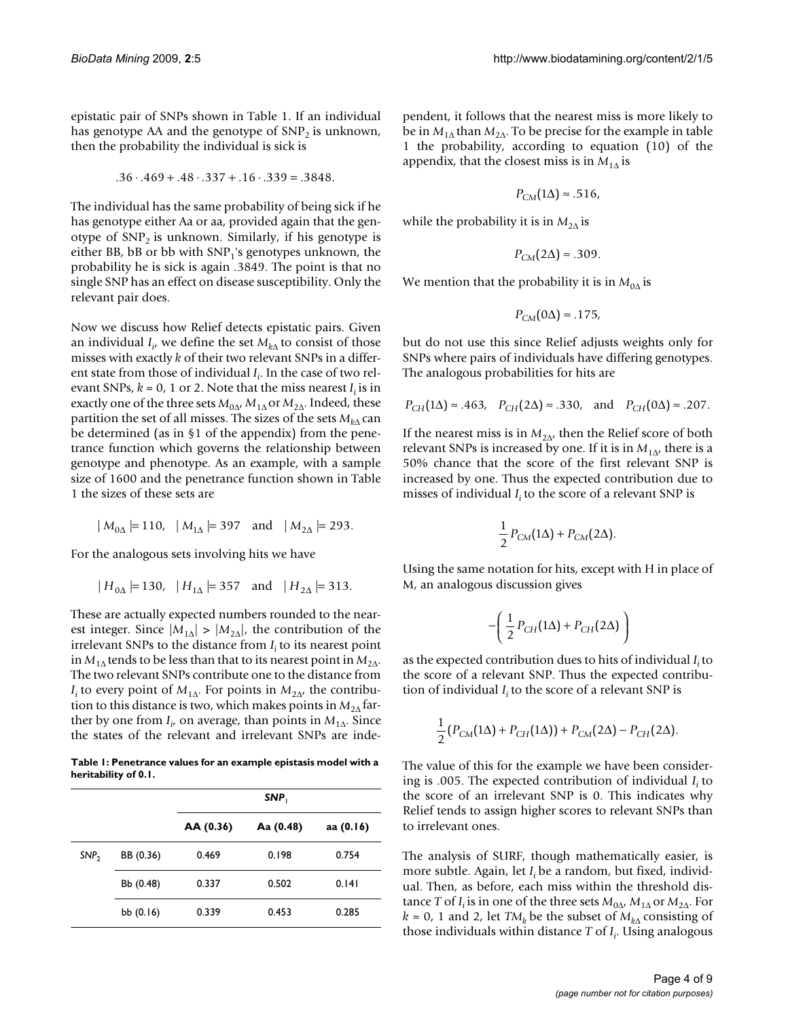epistatic pair of SNPs shown in Table 1. If an individual has genotype AA and the genotype of  $SNP<sub>2</sub>$  is unknown, then the probability the individual is sick is

$$
.36 \cdot .469 + .48 \cdot .337 + .16 \cdot .339 = .3848.
$$

The individual has the same probability of being sick if he has genotype either Aa or aa, provided again that the genotype of  $SNP<sub>2</sub>$  is unknown. Similarly, if his genotype is either BB, bB or bb with  $SNP_1$ 's genotypes unknown, the probability he is sick is again .3849. The point is that no single SNP has an effect on disease susceptibility. Only the relevant pair does.

Now we discuss how Relief detects epistatic pairs. Given an individual  $I_{i'}$  we define the set  $M_{k\Delta}$  to consist of those misses with exactly *k* of their two relevant SNPs in a different state from those of individual *Ii* . In the case of two relevant SNPs,  $k = 0$ , 1 or 2. Note that the miss nearest  $I_i$  is in exactly one of the three sets  $M_{0\Lambda}$ ,  $M_{1\Lambda}$  or  $M_{2\Lambda}$ . Indeed, these partition the set of all misses. The sizes of the sets  $M_{k\Delta}$  can be determined (as in §1 of the appendix) from the penetrance function which governs the relationship between genotype and phenotype. As an example, with a sample size of 1600 and the penetrance function shown in Table 1 the sizes of these sets are

$$
|M_{0\Delta}|=110, |M_{1\Delta}|=397 \text{ and } |M_{2\Delta}|=293.
$$

For the analogous sets involving hits we have

$$
|H_{0\Delta}|=130
$$
,  $|H_{1\Delta}|=357$  and  $|H_{2\Delta}|=313$ .

These are actually expected numbers rounded to the nearest integer. Since  $|M_{1\Delta}| > |M_{2\Delta}|$ , the contribution of the irrelevant SNPs to the distance from  $I_i$  to its nearest point in  $M_{1\Lambda}$  tends to be less than that to its nearest point in  $M_{2\Lambda}$ . The two relevant SNPs contribute one to the distance from *I<sub>i</sub>* to every point of  $M_{1\Lambda}$ . For points in  $M_{2\Lambda}$ , the contribution to this distance is two, which makes points in  $M_{2\Delta}$  farther by one from  $I_i$ , on average, than points in  $M_{1\Delta}$ . Since the states of the relevant and irrelevant SNPs are inde-

**Table 1: Penetrance values for an example epistasis model with a heritability of 0.1.**

|                  |             | SNP <sub>I</sub> |           |             |
|------------------|-------------|------------------|-----------|-------------|
|                  |             | AA (0.36)        | Aa (0.48) | aa $(0.16)$ |
| SNP <sub>2</sub> | BB (0.36)   | 0.469            | 0.198     | 0.754       |
|                  | Bb (0.48)   | 0.337            | 0.502     | 0.141       |
|                  | bb $(0.16)$ | 0.339            | 0.453     | 0.285       |

pendent, it follows that the nearest miss is more likely to be in  $M_{1\Lambda}$  than  $M_{2\Lambda}$ . To be precise for the example in table 1 the probability, according to equation (10) of the appendix, that the closest miss is in  $M_{1\Lambda}$  is

$$
P_{CM}(1\Delta)\approx .516,
$$

while the probability it is in  $M_{2\Lambda}$  is

$$
P_{CM}(2\Delta)\approx .309.
$$

We mention that the probability it is in  $M_{0\Delta}$  is

$$
P_{CM}(0\Delta) \approx .175,
$$

but do not use this since Relief adjusts weights only for SNPs where pairs of individuals have differing genotypes. The analogous probabilities for hits are

$$
P_{CH}(1\Delta) \approx .463
$$
,  $P_{CH}(2\Delta) \approx .330$ , and  $P_{CH}(0\Delta) \approx .207$ .

If the nearest miss is in  $M_{2\Delta}$ , then the Relief score of both relevant SNPs is increased by one. If it is in  $M_{1\Lambda}$ , there is a 50% chance that the score of the first relevant SNP is increased by one. Thus the expected contribution due to misses of individual *Ii* to the score of a relevant SNP is

$$
\frac{1}{2}P_{CM}(1\Delta) + P_{CM}(2\Delta).
$$

Using the same notation for hits, except with H in place of M, an analogous discussion gives

$$
-\left(\frac{1}{2}P_{CH}(1\Delta)+P_{CH}(2\Delta)\right)
$$

as the expected contribution dues to hits of individual *Ii* to the score of a relevant SNP. Thus the expected contribution of individual  $I_i$  to the score of a relevant SNP is

$$
\frac{1}{2}\big(P_{CM}(1\Delta)+P_{CH}(1\Delta)\big)+P_{CM}(2\Delta)-P_{CH}(2\Delta).
$$

The value of this for the example we have been considering is .005. The expected contribution of individual  $I_i$  to the score of an irrelevant SNP is 0. This indicates why Relief tends to assign higher scores to relevant SNPs than to irrelevant ones.

The analysis of SURF, though mathematically easier, is more subtle. Again, let *I<sub>i</sub>* be a random, but fixed, individual. Then, as before, each miss within the threshold distance *T* of *I<sub>i</sub>* is in one of the three sets  $M_{0\Delta}$ ,  $M_{1\Delta}$  or  $M_{2\Delta}$ . For  $k = 0$ , 1 and 2, let  $TM_k$  be the subset of  $M_{k\Delta}$  consisting of those individuals within distance *T* of *Ii* . Using analogous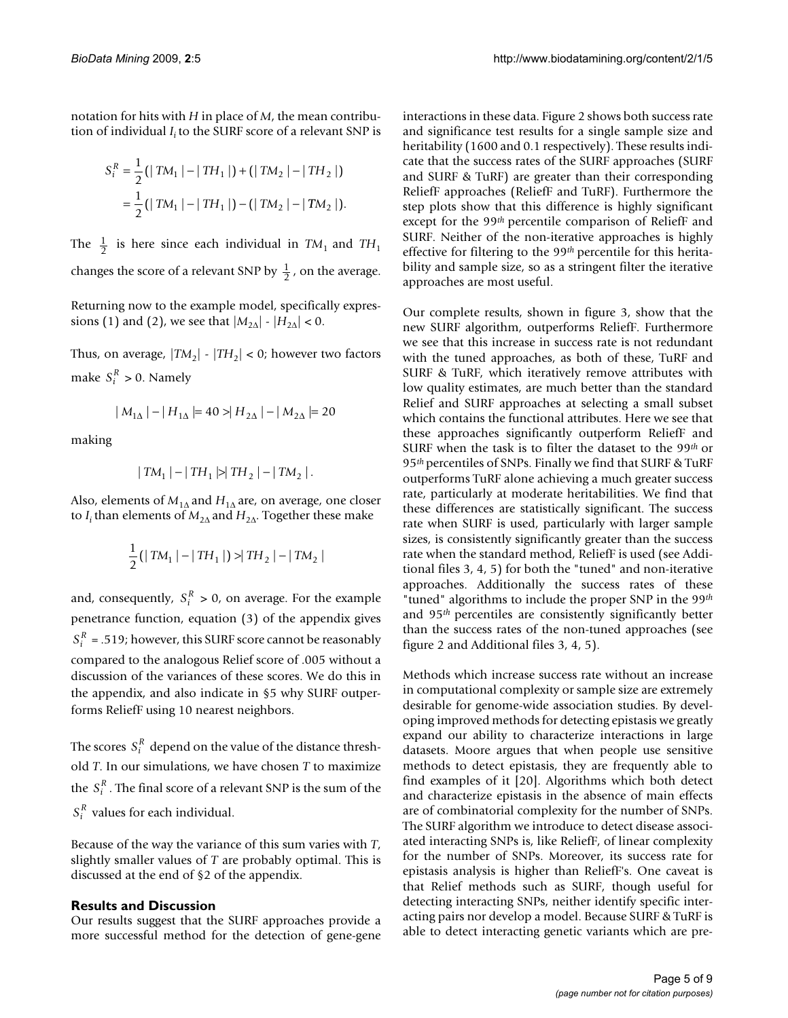notation for hits with *H* in place of *M*, the mean contribution of individual *Ii* to the SURF score of a relevant SNP is

$$
S_i^R = \frac{1}{2} (|TM_1| - |TH_1|) + (|TM_2| - |TH_2|)
$$
  
= 
$$
\frac{1}{2} (|TM_1| - |TH_1|) - (|TM_2| - |TM_2|).
$$

The  $\frac{1}{2}$  is here since each individual in  $TM_1$  and  $TH_1$ changes the score of a relevant SNP by  $\frac{1}{2}$ , on the average.

Returning now to the example model, specifically expressions (1) and (2), we see that  $|M_{2\Lambda}|$  -  $|H_{2\Lambda}|$  < 0.

Thus, on average,  $|TM_2| - |TH_2| < 0$ ; however two factors make  $S_i^R > 0$ . Namely

$$
|M_{1\Delta}|-|H_{1\Delta}|=40>|H_{2\Delta}|-|M_{2\Delta}|=20
$$

making

$$
\mid T\hspace{-0.2mm}M_1 \mid \; = \mid T\hspace{-0.1mm}H_1 \mid \; > \mid T\hspace{-0.1mm}H_2 \mid \; = \mid T\hspace{-0.1mm}M_2 \mid.
$$

Also, elements of  $M_{1\Delta}$  and  $H_{1\Delta}$  are, on average, one closer to  $I_i$  than elements of  $M_{2\Lambda}$  and  $H_{2\Lambda}$ . Together these make

$$
\frac{1}{2}(|TM_1|-|TH_1|) > |TH_2|-|TM_2|
$$

and, consequently,  $S_i^R > 0$ , on average. For the example penetrance function, equation (3) of the appendix gives  $S_i^R = .519$ ; however, this SURF score cannot be reasonably compared to the analogous Relief score of .005 without a discussion of the variances of these scores. We do this in the appendix, and also indicate in §5 why SURF outperforms ReliefF using 10 nearest neighbors.

The scores  $S_i^R$  depend on the value of the distance threshold *T*. In our simulations, we have chosen *T* to maximize the  $S_i^R$ . The final score of a relevant SNP is the sum of the  $S_i^R$  values for each individual.

Because of the way the variance of this sum varies with *T*, slightly smaller values of *T* are probably optimal. This is discussed at the end of §2 of the appendix.

# **Results and Discussion**

Our results suggest that the SURF approaches provide a more successful method for the detection of gene-gene interactions in these data. Figure 2 shows both success rate and significance test results for a single sample size and heritability (1600 and 0.1 respectively). These results indicate that the success rates of the SURF approaches (SURF and SURF & TuRF) are greater than their corresponding ReliefF approaches (ReliefF and TuRF). Furthermore the step plots show that this difference is highly significant except for the 99*th* percentile comparison of ReliefF and SURF. Neither of the non-iterative approaches is highly effective for filtering to the 99*th* percentile for this heritability and sample size, so as a stringent filter the iterative approaches are most useful.

Our complete results, shown in figure 3, show that the new SURF algorithm, outperforms ReliefF. Furthermore we see that this increase in success rate is not redundant with the tuned approaches, as both of these, TuRF and SURF & TuRF, which iteratively remove attributes with low quality estimates, are much better than the standard Relief and SURF approaches at selecting a small subset which contains the functional attributes. Here we see that these approaches significantly outperform ReliefF and SURF when the task is to filter the dataset to the 99*th* or 95*th* percentiles of SNPs. Finally we find that SURF & TuRF outperforms TuRF alone achieving a much greater success rate, particularly at moderate heritabilities. We find that these differences are statistically significant. The success rate when SURF is used, particularly with larger sample sizes, is consistently significantly greater than the success rate when the standard method, ReliefF is used (see Additional files 3, 4, 5) for both the "tuned" and non-iterative approaches. Additionally the success rates of these "tuned" algorithms to include the proper SNP in the 99*th* and 95*th* percentiles are consistently significantly better than the success rates of the non-tuned approaches (see figure 2 and Additional files 3, 4, 5).

Methods which increase success rate without an increase in computational complexity or sample size are extremely desirable for genome-wide association studies. By developing improved methods for detecting epistasis we greatly expand our ability to characterize interactions in large datasets. Moore argues that when people use sensitive methods to detect epistasis, they are frequently able to find examples of it [20]. Algorithms which both detect and characterize epistasis in the absence of main effects are of combinatorial complexity for the number of SNPs. The SURF algorithm we introduce to detect disease associated interacting SNPs is, like ReliefF, of linear complexity for the number of SNPs. Moreover, its success rate for epistasis analysis is higher than ReliefF's. One caveat is that Relief methods such as SURF, though useful for detecting interacting SNPs, neither identify specific interacting pairs nor develop a model. Because SURF & TuRF is able to detect interacting genetic variants which are pre-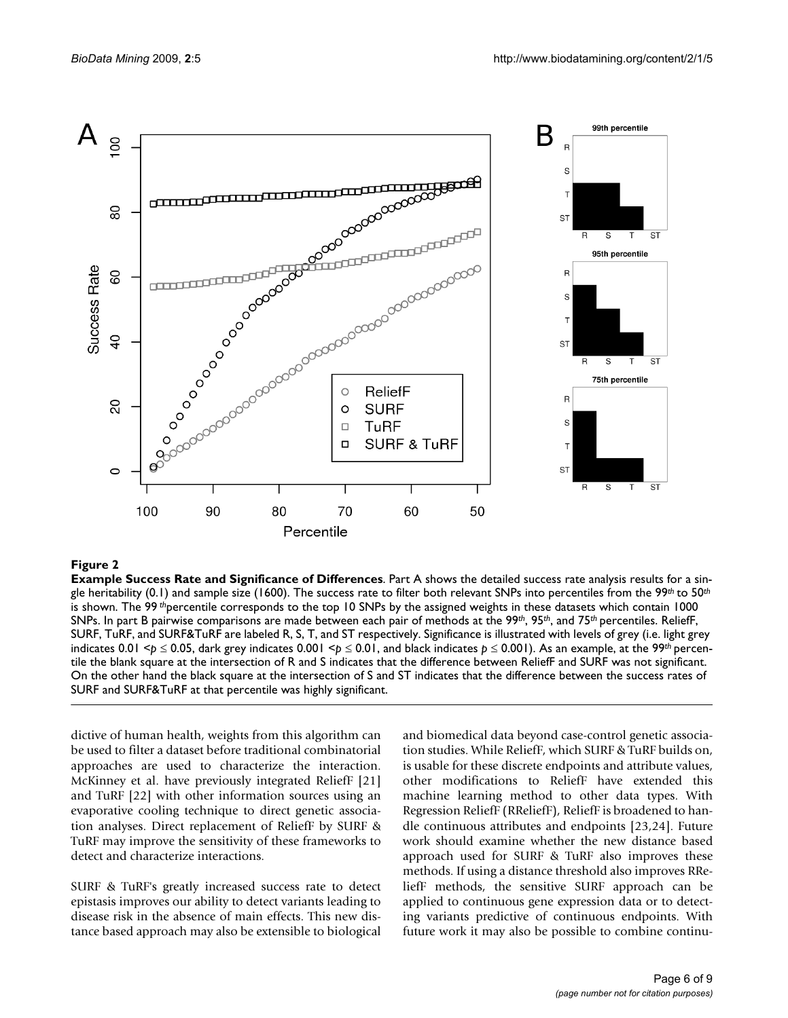

# **Figure 2**

**Example Success Rate and Significance of Differences**. Part A shows the detailed success rate analysis results for a single heritability (0.1) and sample size (1600). The success rate to filter both relevant SNPs into percentiles from the 99*th* to 50*th*  is shown. The 99 *th*percentile corresponds to the top 10 SNPs by the assigned weights in these datasets which contain 1000 SNPs. In part B pairwise comparisons are made between each pair of methods at the 99*th*, 95*th*, and 75*th* percentiles. ReliefF, SURF, TuRF, and SURF&TuRF are labeled R, S, T, and ST respectively. Significance is illustrated with levels of grey (i.e. light grey indicates 0.01 <*p* ≤ 0.05, dark grey indicates 0.001 <*p* ≤ 0.01, and black indicates *p* ≤ 0.001). As an example, at the 99*th* percentile the blank square at the intersection of R and S indicates that the difference between ReliefF and SURF was not significant. On the other hand the black square at the intersection of S and ST indicates that the difference between the success rates of SURF and SURF&TuRF at that percentile was highly significant.

dictive of human health, weights from this algorithm can be used to filter a dataset before traditional combinatorial approaches are used to characterize the interaction. McKinney et al. have previously integrated ReliefF [21] and TuRF [22] with other information sources using an evaporative cooling technique to direct genetic association analyses. Direct replacement of ReliefF by SURF & TuRF may improve the sensitivity of these frameworks to detect and characterize interactions.

SURF & TuRF's greatly increased success rate to detect epistasis improves our ability to detect variants leading to disease risk in the absence of main effects. This new distance based approach may also be extensible to biological

and biomedical data beyond case-control genetic association studies. While ReliefF, which SURF & TuRF builds on, is usable for these discrete endpoints and attribute values, other modifications to ReliefF have extended this machine learning method to other data types. With Regression ReliefF (RReliefF), ReliefF is broadened to handle continuous attributes and endpoints [23,24]. Future work should examine whether the new distance based approach used for SURF & TuRF also improves these methods. If using a distance threshold also improves RReliefF methods, the sensitive SURF approach can be applied to continuous gene expression data or to detecting variants predictive of continuous endpoints. With future work it may also be possible to combine continu-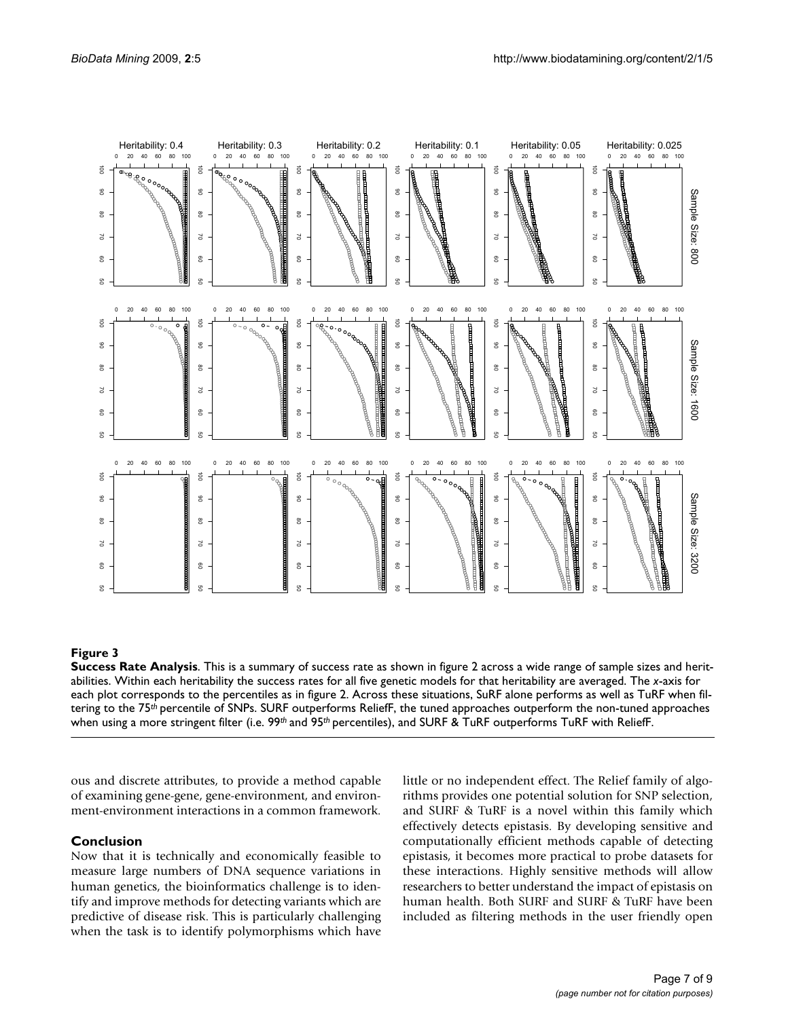

#### **Figure 3**

**Success Rate Analysis**. This is a summary of success rate as shown in figure 2 across a wide range of sample sizes and heritabilities. Within each heritability the success rates for all five genetic models for that heritability are averaged. The *x*-axis for each plot corresponds to the percentiles as in figure 2. Across these situations, SuRF alone performs as well as TuRF when filtering to the 75*th* percentile of SNPs. SURF outperforms ReliefF, the tuned approaches outperform the non-tuned approaches

ous and discrete attributes, to provide a method capable of examining gene-gene, gene-environment, and environment-environment interactions in a common framework.

#### **Conclusion**

Now that it is technically and economically feasible to measure large numbers of DNA sequence variations in human genetics, the bioinformatics challenge is to identify and improve methods for detecting variants which are predictive of disease risk. This is particularly challenging when the task is to identify polymorphisms which have little or no independent effect. The Relief family of algorithms provides one potential solution for SNP selection, and SURF & TuRF is a novel within this family which effectively detects epistasis. By developing sensitive and computationally efficient methods capable of detecting epistasis, it becomes more practical to probe datasets for these interactions. Highly sensitive methods will allow researchers to better understand the impact of epistasis on human health. Both SURF and SURF & TuRF have been included as filtering methods in the user friendly open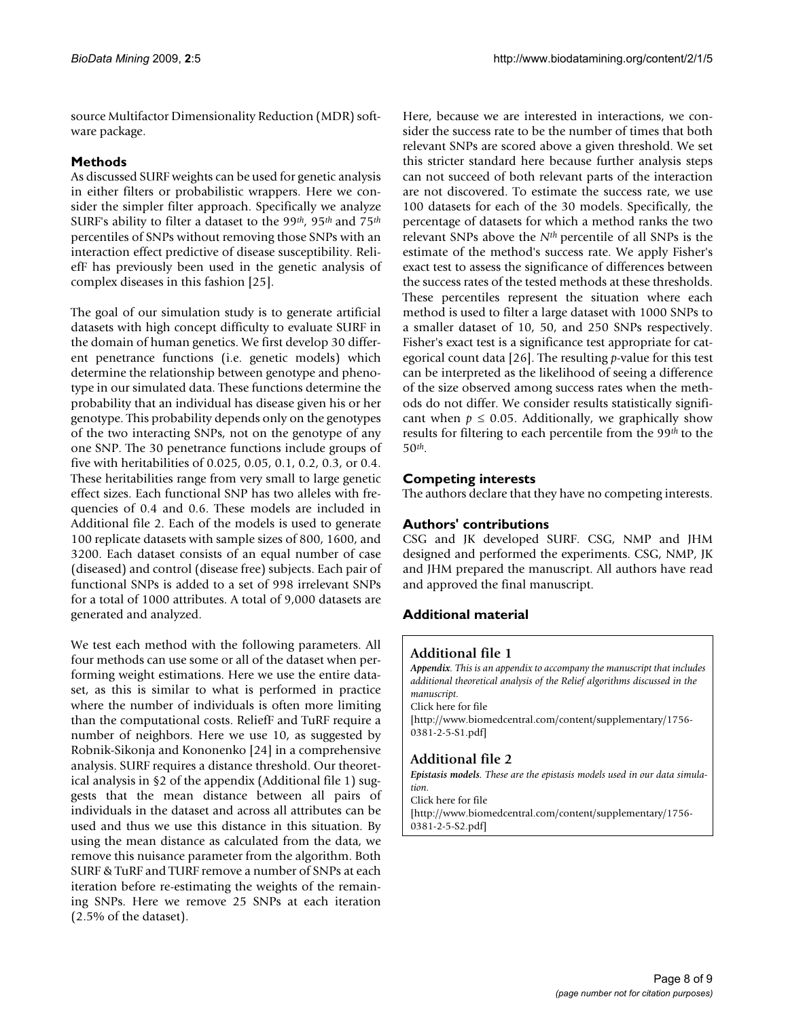source Multifactor Dimensionality Reduction (MDR) software package.

# **Methods**

As discussed SURF weights can be used for genetic analysis in either filters or probabilistic wrappers. Here we consider the simpler filter approach. Specifically we analyze SURF's ability to filter a dataset to the 99*th*, 95*th* and 75*th* percentiles of SNPs without removing those SNPs with an interaction effect predictive of disease susceptibility. ReliefF has previously been used in the genetic analysis of complex diseases in this fashion [25].

The goal of our simulation study is to generate artificial datasets with high concept difficulty to evaluate SURF in the domain of human genetics. We first develop 30 different penetrance functions (i.e. genetic models) which determine the relationship between genotype and phenotype in our simulated data. These functions determine the probability that an individual has disease given his or her genotype. This probability depends only on the genotypes of the two interacting SNPs, not on the genotype of any one SNP. The 30 penetrance functions include groups of five with heritabilities of 0.025, 0.05, 0.1, 0.2, 0.3, or 0.4. These heritabilities range from very small to large genetic effect sizes. Each functional SNP has two alleles with frequencies of 0.4 and 0.6. These models are included in Additional file 2. Each of the models is used to generate 100 replicate datasets with sample sizes of 800, 1600, and 3200. Each dataset consists of an equal number of case (diseased) and control (disease free) subjects. Each pair of functional SNPs is added to a set of 998 irrelevant SNPs for a total of 1000 attributes. A total of 9,000 datasets are generated and analyzed.

We test each method with the following parameters. All four methods can use some or all of the dataset when performing weight estimations. Here we use the entire dataset, as this is similar to what is performed in practice where the number of individuals is often more limiting than the computational costs. ReliefF and TuRF require a number of neighbors. Here we use 10, as suggested by Robnik-Sikonja and Kononenko [24] in a comprehensive analysis. SURF requires a distance threshold. Our theoretical analysis in §2 of the appendix (Additional file 1) suggests that the mean distance between all pairs of individuals in the dataset and across all attributes can be used and thus we use this distance in this situation. By using the mean distance as calculated from the data, we remove this nuisance parameter from the algorithm. Both SURF & TuRF and TURF remove a number of SNPs at each iteration before re-estimating the weights of the remaining SNPs. Here we remove 25 SNPs at each iteration (2.5% of the dataset).

Here, because we are interested in interactions, we consider the success rate to be the number of times that both relevant SNPs are scored above a given threshold. We set this stricter standard here because further analysis steps can not succeed of both relevant parts of the interaction are not discovered. To estimate the success rate, we use 100 datasets for each of the 30 models. Specifically, the percentage of datasets for which a method ranks the two relevant SNPs above the *Nth* percentile of all SNPs is the estimate of the method's success rate. We apply Fisher's exact test to assess the significance of differences between the success rates of the tested methods at these thresholds. These percentiles represent the situation where each method is used to filter a large dataset with 1000 SNPs to a smaller dataset of 10, 50, and 250 SNPs respectively. Fisher's exact test is a significance test appropriate for categorical count data [26]. The resulting *p*-value for this test can be interpreted as the likelihood of seeing a difference of the size observed among success rates when the methods do not differ. We consider results statistically significant when  $p \le 0.05$ . Additionally, we graphically show results for filtering to each percentile from the 99*th* to the 50*th*.

# **Competing interests**

The authors declare that they have no competing interests.

# **Authors' contributions**

CSG and JK developed SURF. CSG, NMP and JHM designed and performed the experiments. CSG, NMP, JK and JHM prepared the manuscript. All authors have read and approved the final manuscript.

# **Additional material**

# **Additional file 1**

*Appendix. This is an appendix to accompany the manuscript that includes additional theoretical analysis of the Relief algorithms discussed in the manuscript.* Click here for file [\[http://www.biomedcentral.com/content/supplementary/1756-](http://www.biomedcentral.com/content/supplementary/1756-0381-2-5-S1.pdf) 0381-2-5-S1.pdf]

# **Additional file 2**

*Epistasis models. These are the epistasis models used in our data simulation.*

Click here for file

[\[http://www.biomedcentral.com/content/supplementary/1756-](http://www.biomedcentral.com/content/supplementary/1756-0381-2-5-S2.pdf) 0381-2-5-S2.pdf]